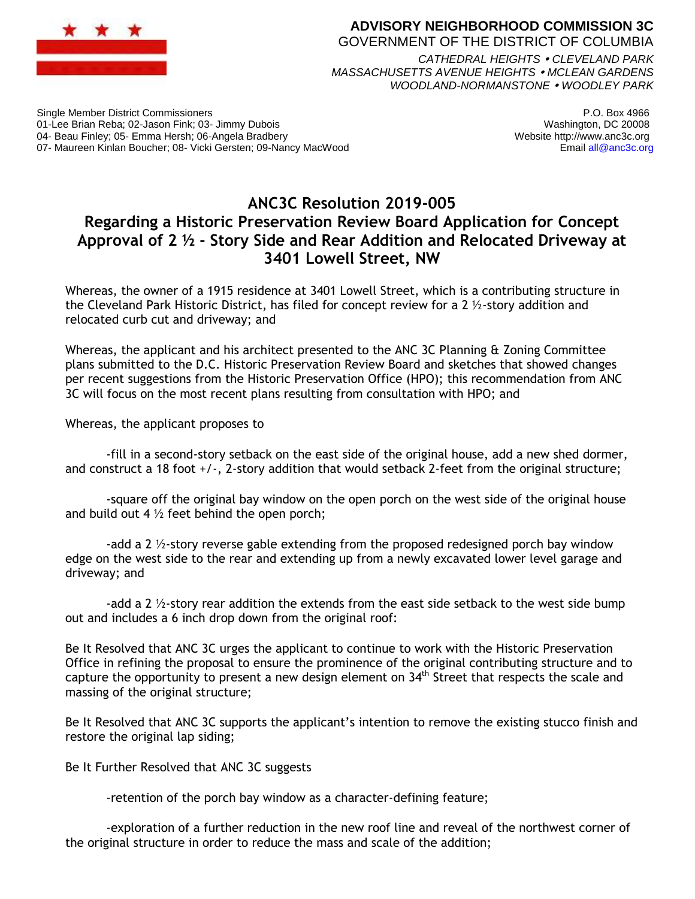

## **ADVISORY NEIGHBORHOOD COMMISSION 3C** GOVERNMENT OF THE DISTRICT OF COLUMBIA

*CATHEDRAL HEIGHTS CLEVELAND PARK MASSACHUSETTS AVENUE HEIGHTS MCLEAN GARDENS WOODLAND-NORMANSTONE WOODLEY PARK*

Single Member District Commissioners 01-Lee Brian Reba; 02-Jason Fink; 03- Jimmy Dubois 04- Beau Finley; 05- Emma Hersh; 06-Angela Bradbery 07- Maureen Kinlan Boucher; 08- Vicki Gersten; 09-Nancy MacWood

P.O. Box 4966 Washington, DC 20008 Website http://www.anc3c.org Email all@anc3c.org

## **ANC3C Resolution 2019-005 Regarding a Historic Preservation Review Board Application for Concept Approval of 2 ½ - Story Side and Rear Addition and Relocated Driveway at 3401 Lowell Street, NW**

Whereas, the owner of a 1915 residence at 3401 Lowell Street, which is a contributing structure in the Cleveland Park Historic District, has filed for concept review for a 2  $\frac{1}{2}$ -story addition and relocated curb cut and driveway; and

Whereas, the applicant and his architect presented to the ANC 3C Planning & Zoning Committee plans submitted to the D.C. Historic Preservation Review Board and sketches that showed changes per recent suggestions from the Historic Preservation Office (HPO); this recommendation from ANC 3C will focus on the most recent plans resulting from consultation with HPO; and

Whereas, the applicant proposes to

-fill in a second-story setback on the east side of the original house, add a new shed dormer, and construct a 18 foot +/-, 2-story addition that would setback 2-feet from the original structure;

-square off the original bay window on the open porch on the west side of the original house and build out 4  $\frac{1}{2}$  feet behind the open porch;

-add a 2  $\frac{1}{2}$ -story reverse gable extending from the proposed redesigned porch bay window edge on the west side to the rear and extending up from a newly excavated lower level garage and driveway; and

-add a 2  $\frac{1}{2}$ -story rear addition the extends from the east side setback to the west side bump out and includes a 6 inch drop down from the original roof:

Be It Resolved that ANC 3C urges the applicant to continue to work with the Historic Preservation Office in refining the proposal to ensure the prominence of the original contributing structure and to capture the opportunity to present a new design element on 34<sup>th</sup> Street that respects the scale and massing of the original structure;

Be It Resolved that ANC 3C supports the applicant's intention to remove the existing stucco finish and restore the original lap siding;

Be It Further Resolved that ANC 3C suggests

-retention of the porch bay window as a character-defining feature;

-exploration of a further reduction in the new roof line and reveal of the northwest corner of the original structure in order to reduce the mass and scale of the addition;